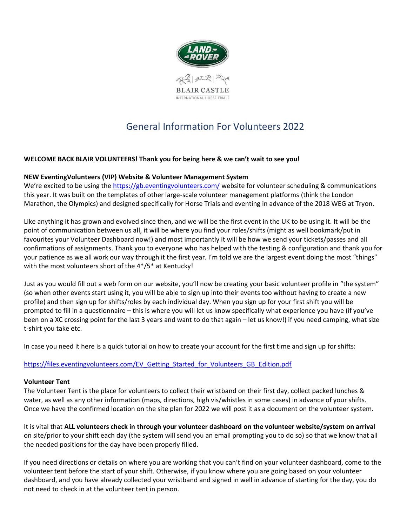

# General Information For Volunteers 2022

## **WELCOME BACK BLAIR VOLUNTEERS! Thank you for being here & we can't wait to see you!**

#### **NEW EventingVolunteers (VIP) Website & Volunteer Management System**

We're excited to be using the <https://gb.eventingvolunteers.com/> website for volunteer scheduling & communications this year. It was built on the templates of other large-scale volunteer management platforms (think the London Marathon, the Olympics) and designed specifically for Horse Trials and eventing in advance of the 2018 WEG at Tryon.

Like anything it has grown and evolved since then, and we will be the first event in the UK to be using it. It will be the point of communication between us all, it will be where you find your roles/shifts (might as well bookmark/put in favourites your Volunteer Dashboard now!) and most importantly it will be how we send your tickets/passes and all confirmations of assignments. Thank you to everyone who has helped with the testing & configuration and thank you for your patience as we all work our way through it the first year. I'm told we are the largest event doing the most "things" with the most volunteers short of the 4\*/5\* at Kentucky!

Just as you would fill out a web form on our website, you'll now be creating your basic volunteer profile in "the system" (so when other events start using it, you will be able to sign up into their events too without having to create a new profile) and then sign up for shifts/roles by each individual day. When you sign up for your first shift you will be prompted to fill in a questionnaire – this is where you will let us know specifically what experience you have (if you've been on a XC crossing point for the last 3 years and want to do that again – let us know!) if you need camping, what size t-shirt you take etc.

In case you need it here is a quick tutorial on how to create your account for the first time and sign up for shifts:

#### [https://files.eventingvolunteers.com/EV\\_Getting\\_Started\\_for\\_Volunteers\\_GB\\_Edition.pdf](https://files.eventingvolunteers.com/EV_Getting_Started_for_Volunteers_GB_Edition.pdf)

#### **Volunteer Tent**

The Volunteer Tent is the place for volunteers to collect their wristband on their first day, collect packed lunches & water, as well as any other information (maps, directions, high vis/whistles in some cases) in advance of your shifts. Once we have the confirmed location on the site plan for 2022 we will post it as a document on the volunteer system.

It is vital that **ALL volunteers check in through your volunteer dashboard on the volunteer website/system on arrival** on site/prior to your shift each day (the system will send you an email prompting you to do so) so that we know that all the needed positions for the day have been properly filled.

If you need directions or details on where you are working that you can't find on your volunteer dashboard, come to the volunteer tent before the start of your shift. Otherwise, if you know where you are going based on your volunteer dashboard, and you have already collected your wristband and signed in well in advance of starting for the day, you do not need to check in at the volunteer tent in person.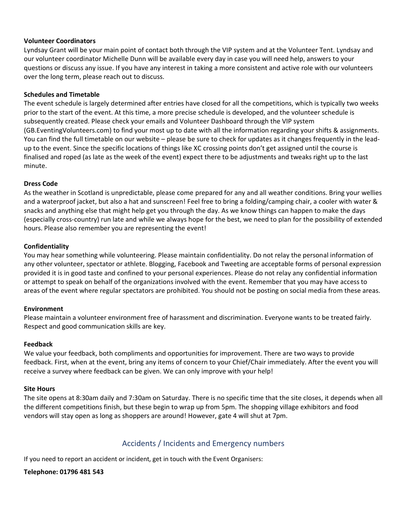#### **Volunteer Coordinators**

Lyndsay Grant will be your main point of contact both through the VIP system and at the Volunteer Tent. Lyndsay and our volunteer coordinator Michelle Dunn will be available every day in case you will need help, answers to your questions or discuss any issue. If you have any interest in taking a more consistent and active role with our volunteers over the long term, please reach out to discuss.

#### **Schedules and Timetable**

The event schedule is largely determined after entries have closed for all the competitions, which is typically two weeks prior to the start of the event. At this time, a more precise schedule is developed, and the volunteer schedule is subsequently created. Please check your emails and Volunteer Dashboard through the VIP system (GB.EventingVolunteers.com) to find your most up to date with all the information regarding your shifts & assignments. You can find the full timetable on our website – please be sure to check for updates as it changes frequently in the leadup to the event. Since the specific locations of things like XC crossing points don't get assigned until the course is finalised and roped (as late as the week of the event) expect there to be adjustments and tweaks right up to the last minute.

#### **Dress Code**

As the weather in Scotland is unpredictable, please come prepared for any and all weather conditions. Bring your wellies and a waterproof jacket, but also a hat and sunscreen! Feel free to bring a folding/camping chair, a cooler with water & snacks and anything else that might help get you through the day. As we know things can happen to make the days (especially cross-country) run late and while we always hope for the best, we need to plan for the possibility of extended hours. Please also remember you are representing the event!

#### **Confidentiality**

You may hear something while volunteering. Please maintain confidentiality. Do not relay the personal information of any other volunteer, spectator or athlete. Blogging, Facebook and Tweeting are acceptable forms of personal expression provided it is in good taste and confined to your personal experiences. Please do not relay any confidential information or attempt to speak on behalf of the organizations involved with the event. Remember that you may have access to areas of the event where regular spectators are prohibited. You should not be posting on social media from these areas.

#### **Environment**

Please maintain a volunteer environment free of harassment and discrimination. Everyone wants to be treated fairly. Respect and good communication skills are key.

#### **Feedback**

We value your feedback, both compliments and opportunities for improvement. There are two ways to provide feedback. First, when at the event, bring any items of concern to your Chief/Chair immediately. After the event you will receive a survey where feedback can be given. We can only improve with your help!

#### **Site Hours**

The site opens at 8:30am daily and 7:30am on Saturday. There is no specific time that the site closes, it depends when all the different competitions finish, but these begin to wrap up from 5pm. The shopping village exhibitors and food vendors will stay open as long as shoppers are around! However, gate 4 will shut at 7pm.

# Accidents / Incidents and Emergency numbers

If you need to report an accident or incident, get in touch with the Event Organisers:

#### **Telephone: 01796 481 543**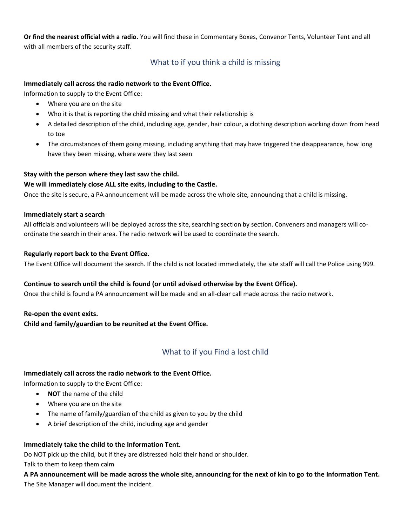**Or find the nearest official with a radio.** You will find these in Commentary Boxes, Convenor Tents, Volunteer Tent and all with all members of the security staff.

# What to if you think a child is missing

### **Immediately call across the radio network to the Event Office.**

Information to supply to the Event Office:

- Where you are on the site
- Who it is that is reporting the child missing and what their relationship is
- A detailed description of the child, including age, gender, hair colour, a clothing description working down from head to toe
- The circumstances of them going missing, including anything that may have triggered the disappearance, how long have they been missing, where were they last seen

#### **Stay with the person where they last saw the child.**

#### **We will immediately close ALL site exits, including to the Castle.**

Once the site is secure, a PA announcement will be made across the whole site, announcing that a child is missing.

#### **Immediately start a search**

All officials and volunteers will be deployed across the site, searching section by section. Conveners and managers will coordinate the search in their area. The radio network will be used to coordinate the search.

#### **Regularly report back to the Event Office.**

The Event Office will document the search. If the child is not located immediately, the site staff will call the Police using 999.

#### **Continue to search until the child is found (or until advised otherwise by the Event Office).**

Once the child is found a PA announcement will be made and an all-clear call made across the radio network.

#### **Re-open the event exits.**

**Child and family/guardian to be reunited at the Event Office.**

# What to if you Find a lost child

#### **Immediately call across the radio network to the Event Office.**

Information to supply to the Event Office:

- **NOT** the name of the child
- Where you are on the site
- The name of family/guardian of the child as given to you by the child
- A brief description of the child, including age and gender

#### **Immediately take the child to the Information Tent.**

Do NOT pick up the child, but if they are distressed hold their hand or shoulder. Talk to them to keep them calm

**A PA announcement will be made across the whole site, announcing for the next of kin to go to the Information Tent.** The Site Manager will document the incident.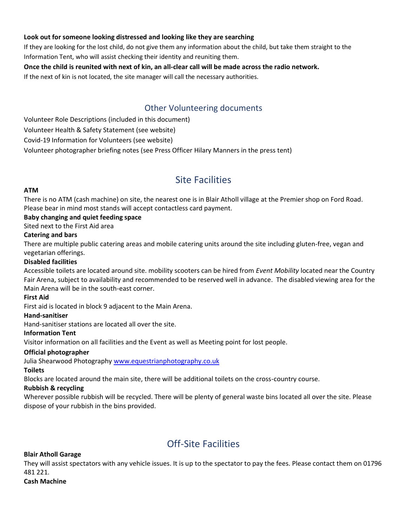### **Look out for someone looking distressed and looking like they are searching**

If they are looking for the lost child, do not give them any information about the child, but take them straight to the Information Tent, who will assist checking their identity and reuniting them.

### **Once the child is reunited with next of kin, an all-clear call will be made across the radio network.**

If the next of kin is not located, the site manager will call the necessary authorities.

# Other Volunteering documents

Volunteer Role Descriptions (included in this document)

Volunteer Health & Safety Statement (see website)

Covid-19 Information for Volunteers (see website)

Volunteer photographer briefing notes (see Press Officer Hilary Manners in the press tent)

# Site Facilities

#### **ATM**

There is no ATM (cash machine) on site, the nearest one is in Blair Atholl village at the Premier shop on Ford Road. Please bear in mind most stands will accept contactless card payment.

## **Baby changing and quiet feeding space**

#### Sited next to the First Aid area

#### **Catering and bars**

There are multiple public catering areas and mobile catering units around the site including gluten-free, vegan and vegetarian offerings.

#### **Disabled facilities**

Accessible toilets are located around site. mobility scooters can be hired from *Event Mobility* located near the Country Fair Arena, subject to availability and recommended to be reserved well in advance. The disabled viewing area for the Main Arena will be in the south-east corner.

#### **First Aid**

First aid is located in block 9 adjacent to the Main Arena.

#### **Hand-sanitiser**

Hand-sanitiser stations are located all over the site.

#### **Information Tent**

Visitor information on all facilities and the Event as well as Meeting point for lost people.

#### **Official photographer**

Julia Shearwood Photography [www.equestrianphotography.co.uk](http://www.equestrianphotography.co.uk/)

#### **Toilets**

Blocks are located around the main site, there will be additional toilets on the cross-country course.

#### **Rubbish & recycling**

Wherever possible rubbish will be recycled. There will be plenty of general waste bins located all over the site. Please dispose of your rubbish in the bins provided.

# Off-Site Facilities

#### **Blair Atholl Garage**

They will assist spectators with any vehicle issues. It is up to the spectator to pay the fees. Please contact them on 01796 481 221.

#### **Cash Machine**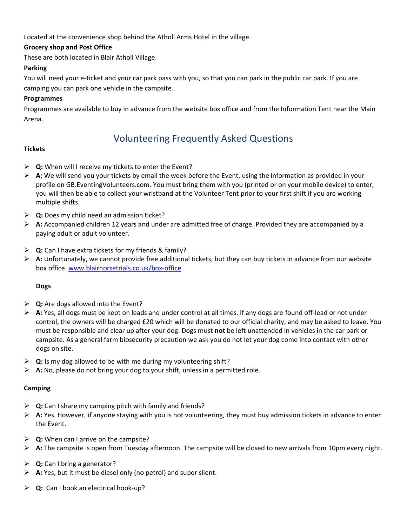Located at the convenience shop behind the Atholl Arms Hotel in the village.

### **Grocery shop and Post Office**

These are both located in Blair Atholl Village.

### **Parking**

You will need your e-ticket and your car park pass with you, so that you can park in the public car park. If you are camping you can park one vehicle in the campsite.

### **Programmes**

Programmes are available to buy in advance from the website box office and from the Information Tent near the Main Arena.

# Volunteering Frequently Asked Questions

## **Tickets**

- ➢ **Q:** When will I receive my tickets to enter the Event?
- ➢ **A:** We will send you your tickets by email the week before the Event, using the information as provided in your profile on GB.EventingVolunteers.com. You must bring them with you (printed or on your mobile device) to enter, you will then be able to collect your wristband at the Volunteer Tent prior to your first shift if you are working multiple shifts.
- ➢ **Q:** Does my child need an admission ticket?
- ➢ **A:** Accompanied children 12 years and under are admitted free of charge. Provided they are accompanied by a paying adult or adult volunteer.
- ➢ **Q:** Can I have extra tickets for my friends & family?
- ➢ **A:** Unfortunately, we cannot provide free additional tickets, but they can buy tickets in advance from our website box office. [www.blairhorsetrials.co.uk/box-office](http://www.blairhorsetrials.co.uk/box-office)

#### **Dogs**

- ➢ **Q:** Are dogs allowed into the Event?
- ➢ **A:** Yes, all dogs must be kept on leads and under control at all times. If any dogs are found off-lead or not under control, the owners will be charged £20 which will be donated to our official charity, and may be asked to leave. You must be responsible and clear up after your dog. Dogs must **not** be left unattended in vehicles in the car park or campsite. As a general farm biosecurity precaution we ask you do not let your dog come into contact with other dogs on site.
- ➢ **Q:** Is my dog allowed to be with me during my volunteering shift?
- ➢ **A:** No, please do not bring your dog to your shift, unless in a permitted role.

#### **Camping**

- ➢ **Q:** Can I share my camping pitch with family and friends?
- ➢ **A:** Yes. However, if anyone staying with you is not volunteering, they must buy admission tickets in advance to enter the Event.
- ➢ **Q:** When can I arrive on the campsite?
- ➢ **A:** The campsite is open from Tuesday afternoon. The campsite will be closed to new arrivals from 10pm every night.
- ➢ **Q:** Can I bring a generator?
- ➢ **A:** Yes, but it must be diesel only (no petrol) and super silent.
- ➢ **Q:** Can I book an electrical hook-up?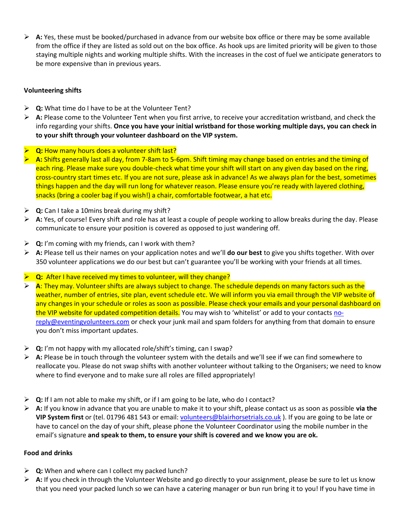➢ **A:** Yes, these must be booked/purchased in advance from our website box office or there may be some available from the office if they are listed as sold out on the box office. As hook ups are limited priority will be given to those staying multiple nights and working multiple shifts. With the increases in the cost of fuel we anticipate generators to be more expensive than in previous years.

## **Volunteering shifts**

- ➢ **Q:** What time do I have to be at the Volunteer Tent?
- ➢ **A:** Please come to the Volunteer Tent when you first arrive, to receive your accreditation wristband, and check the info regarding your shifts. **Once you have your initial wristband for those working multiple days, you can check in to your shift through your volunteer dashboard on the VIP system.**
- **Q:** How many hours does a volunteer shift last?
- ➢ **A:** Shifts generally last all day, from 7-8am to 5-6pm. Shift timing may change based on entries and the timing of each ring. Please make sure you double-check what time your shift will start on any given day based on the ring, cross-country start times etc. If you are not sure, please ask in advance! As we always plan for the best, sometimes things happen and the day will run long for whatever reason. Please ensure you're ready with layered clothing, snacks (bring a cooler bag if you wish!) a chair, comfortable footwear, a hat etc.
- ➢ **Q:** Can I take a 10mins break during my shift?
- ➢ **A:** Yes, of course! Every shift and role has at least a couple of people working to allow breaks during the day. Please communicate to ensure your position is covered as opposed to just wandering off.
- ➢ **Q:** I'm coming with my friends, can I work with them?
- ➢ **A:** Please tell us their names on your application notes and we'll **do our best** to give you shifts together. With over 350 volunteer applications we do our best but can't guarantee you'll be working with your friends at all times.
- ➢ **Q:** After I have received my times to volunteer, will they change?
- ➢ **A**: They may. Volunteer shifts are always subject to change. The schedule depends on many factors such as the weather, number of entries, site plan, event schedule etc. We will inform you via email through the VIP website of any changes in your schedule or roles as soon as possible. Please check your emails and your personal dashboard on the VIP website for updated competition details. You may wish to 'whitelist' or add to your contacts [no](mailto:no-reply@eventingvolunteers.com)[reply@eventingvolunteers.com](mailto:no-reply@eventingvolunteers.com) or check your junk mail and spam folders for anything from that domain to ensure you don't miss important updates.
- ➢ **Q:** I'm not happy with my allocated role/shift's timing, can I swap?
- ➢ **A:** Please be in touch through the volunteer system with the details and we'll see if we can find somewhere to reallocate you. Please do not swap shifts with another volunteer without talking to the Organisers; we need to know where to find everyone and to make sure all roles are filled appropriately!
- ➢ **Q:** If I am not able to make my shift, or if I am going to be late, who do I contact?
- ➢ **A:** If you know in advance that you are unable to make it to your shift, please contact us as soon as possible **via the VIP System first** or (tel. 01796 481 543 or email: [volunteers@blairhorsetrials.co.uk](mailto:volunteers@blairhorsetrials.co.uk) ). If you are going to be late or have to cancel on the day of your shift, please phone the Volunteer Coordinator using the mobile number in the email's signature **and speak to them, to ensure your shift is covered and we know you are ok.**

## **Food and drinks**

- ➢ **Q:** When and where can I collect my packed lunch?
- ➢ **A:** If you check in through the Volunteer Website and go directly to your assignment, please be sure to let us know that you need your packed lunch so we can have a catering manager or bun run bring it to you! If you have time in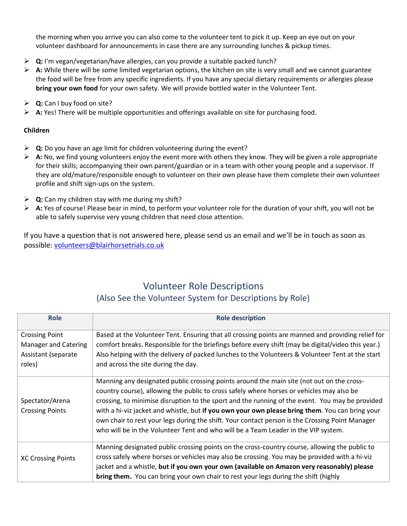the morning when you arrive you can also come to the volunteer tent to pick it up. Keep an eye out on your volunteer dashboard for announcements in case there are any surrounding lunches & pickup times.

- ➢ **Q:** I'm vegan/vegetarian/have allergies, can you provide a suitable packed lunch?
- ➢ **A:** While there will be some limited vegetarian options, the kitchen on site is very small and we cannot guarantee the food will be free from any specific ingredients. If you have any special dietary requirements or allergies please **bring your own food** for your own safety. We will provide bottled water in the Volunteer Tent.
- ➢ **Q:** Can I buy food on site?
- ➢ **A:** Yes! There will be multiple opportunities and offerings available on site for purchasing food.

# **Children**

- ➢ **Q:** Do you have an age limit for children volunteering during the event?
- ➢ **A:** No, we find young volunteers enjoy the event more with others they know. They will be given a role appropriate for their skills; accompanying their own parent/guardian or in a team with other young people and a supervisor. If they are old/mature/responsible enough to volunteer on their own please have them complete their own volunteer profile and shift sign-ups on the system.
- ➢ **Q:** Can my children stay with me during my shift?
- ➢ **A:** Yes of course! Please bear in mind, to perform your volunteer role for the duration of your shift, you will not be able to safely supervise very young children that need close attention.

If you have a question that is not answered here, please send us an email and we'll be in touch as soon as possible: [volunteers@blairhorsetrials.co.uk](mailto:volunteers@blairhorsetrials.co.uk)

# Volunteer Role Descriptions (Also See the Volunteer System for Descriptions by Role)

| <b>Role</b>                 | <b>Role description</b>                                                                            |
|-----------------------------|----------------------------------------------------------------------------------------------------|
| <b>Crossing Point</b>       | Based at the Volunteer Tent. Ensuring that all crossing points are manned and providing relief for |
| <b>Manager and Catering</b> | comfort breaks. Responsible for the briefings before every shift (may be digital/video this year.) |
| Assistant (separate         | Also helping with the delivery of packed lunches to the Volunteers & Volunteer Tent at the start   |
| roles)                      | and across the site during the day.                                                                |
|                             | Manning any designated public crossing points around the main site (not out on the cross-          |
|                             | country course), allowing the public to cross safely where horses or vehicles may also be          |
| Spectator/Arena             | crossing, to minimise disruption to the sport and the running of the event. You may be provided    |
| <b>Crossing Points</b>      | with a hi-viz jacket and whistle, but if you own your own please bring them. You can bring your    |
|                             | own chair to rest your legs during the shift. Your contact person is the Crossing Point Manager    |
|                             | who will be in the Volunteer Tent and who will be a Team Leader in the VIP system.                 |
| <b>XC Crossing Points</b>   | Manning designated public crossing points on the cross-country course, allowing the public to      |
|                             | cross safely where horses or vehicles may also be crossing. You may be provided with a hi-viz      |
|                             | jacket and a whistle, but if you own your own (available on Amazon very reasonably) please         |
|                             | bring them. You can bring your own chair to rest your legs during the shift (highly                |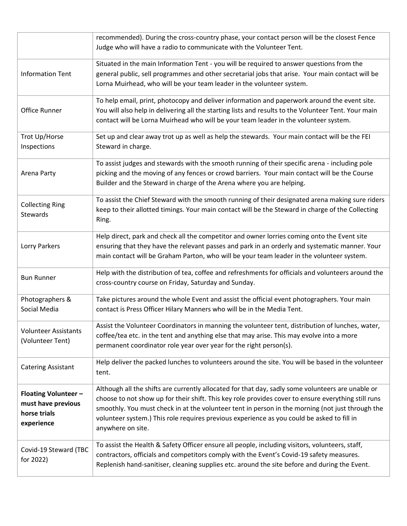|                                                                                 | recommended). During the cross-country phase, your contact person will be the closest Fence<br>Judge who will have a radio to communicate with the Volunteer Tent.                                                                                                                                                                                                                                                              |
|---------------------------------------------------------------------------------|---------------------------------------------------------------------------------------------------------------------------------------------------------------------------------------------------------------------------------------------------------------------------------------------------------------------------------------------------------------------------------------------------------------------------------|
| <b>Information Tent</b>                                                         | Situated in the main Information Tent - you will be required to answer questions from the<br>general public, sell programmes and other secretarial jobs that arise. Your main contact will be<br>Lorna Muirhead, who will be your team leader in the volunteer system.                                                                                                                                                          |
| Office Runner                                                                   | To help email, print, photocopy and deliver information and paperwork around the event site.<br>You will also help in delivering all the starting lists and results to the Volunteer Tent. Your main<br>contact will be Lorna Muirhead who will be your team leader in the volunteer system.                                                                                                                                    |
| Trot Up/Horse<br>Inspections                                                    | Set up and clear away trot up as well as help the stewards. Your main contact will be the FEI<br>Steward in charge.                                                                                                                                                                                                                                                                                                             |
| Arena Party                                                                     | To assist judges and stewards with the smooth running of their specific arena - including pole<br>picking and the moving of any fences or crowd barriers. Your main contact will be the Course<br>Builder and the Steward in charge of the Arena where you are helping.                                                                                                                                                         |
| <b>Collecting Ring</b><br>Stewards                                              | To assist the Chief Steward with the smooth running of their designated arena making sure riders<br>keep to their allotted timings. Your main contact will be the Steward in charge of the Collecting<br>Ring.                                                                                                                                                                                                                  |
| Lorry Parkers                                                                   | Help direct, park and check all the competitor and owner lorries coming onto the Event site<br>ensuring that they have the relevant passes and park in an orderly and systematic manner. Your<br>main contact will be Graham Parton, who will be your team leader in the volunteer system.                                                                                                                                      |
| <b>Bun Runner</b>                                                               | Help with the distribution of tea, coffee and refreshments for officials and volunteers around the<br>cross-country course on Friday, Saturday and Sunday.                                                                                                                                                                                                                                                                      |
| Photographers &<br>Social Media                                                 | Take pictures around the whole Event and assist the official event photographers. Your main<br>contact is Press Officer Hilary Manners who will be in the Media Tent.                                                                                                                                                                                                                                                           |
| <b>Volunteer Assistants</b><br>(Volunteer Tent)                                 | Assist the Volunteer Coordinators in manning the volunteer tent, distribution of lunches, water,<br>coffee/tea etc. in the tent and anything else that may arise. This may evolve into a more<br>permanent coordinator role year over year for the right person(s).                                                                                                                                                             |
| <b>Catering Assistant</b>                                                       | Help deliver the packed lunches to volunteers around the site. You will be based in the volunteer<br>tent.                                                                                                                                                                                                                                                                                                                      |
| <b>Floating Volunteer -</b><br>must have previous<br>horse trials<br>experience | Although all the shifts are currently allocated for that day, sadly some volunteers are unable or<br>choose to not show up for their shift. This key role provides cover to ensure everything still runs<br>smoothly. You must check in at the volunteer tent in person in the morning (not just through the<br>volunteer system.) This role requires previous experience as you could be asked to fill in<br>anywhere on site. |
| Covid-19 Steward (TBC<br>for 2022)                                              | To assist the Health & Safety Officer ensure all people, including visitors, volunteers, staff,<br>contractors, officials and competitors comply with the Event's Covid-19 safety measures.<br>Replenish hand-sanitiser, cleaning supplies etc. around the site before and during the Event.                                                                                                                                    |